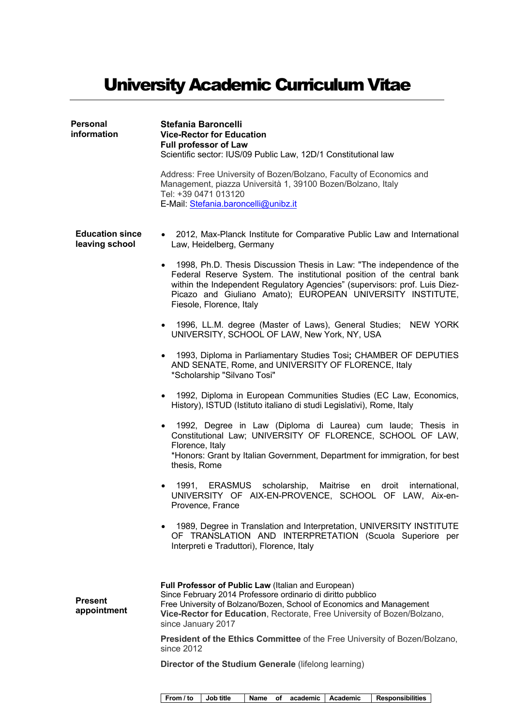# University Academic Curriculum Vitae

| Personal<br>information                  | Stefania Baroncelli<br><b>Vice-Rector for Education</b><br><b>Full professor of Law</b><br>Scientific sector: IUS/09 Public Law, 12D/1 Constitutional law                                                                                                                                                               |
|------------------------------------------|-------------------------------------------------------------------------------------------------------------------------------------------------------------------------------------------------------------------------------------------------------------------------------------------------------------------------|
|                                          | Address: Free University of Bozen/Bolzano, Faculty of Economics and<br>Management, piazza Università 1, 39100 Bozen/Bolzano, Italy<br>Tel: +39 0471 013120<br>E-Mail: Stefania.baroncelli@unibz.it                                                                                                                      |
| <b>Education since</b><br>leaving school | • 2012, Max-Planck Institute for Comparative Public Law and International<br>Law, Heidelberg, Germany                                                                                                                                                                                                                   |
|                                          | 1998, Ph.D. Thesis Discussion Thesis in Law: "The independence of the<br>Federal Reserve System. The institutional position of the central bank<br>within the Independent Regulatory Agencies" (supervisors: prof. Luis Diez-<br>Picazo and Giuliano Amato); EUROPEAN UNIVERSITY INSTITUTE,<br>Fiesole, Florence, Italy |
|                                          | • 1996, LL.M. degree (Master of Laws), General Studies; NEW YORK<br>UNIVERSITY, SCHOOL OF LAW, New York, NY, USA                                                                                                                                                                                                        |
|                                          | 1993, Diploma in Parliamentary Studies Tosi; CHAMBER OF DEPUTIES<br>$\bullet$<br>AND SENATE, Rome, and UNIVERSITY OF FLORENCE, Italy<br>*Scholarship "Silvano Tosi"                                                                                                                                                     |
|                                          | • 1992, Diploma in European Communities Studies (EC Law, Economics,<br>History), ISTUD (Istituto italiano di studi Legislativi), Rome, Italy                                                                                                                                                                            |
|                                          | • 1992, Degree in Law (Diploma di Laurea) cum laude; Thesis in<br>Constitutional Law; UNIVERSITY OF FLORENCE, SCHOOL OF LAW,<br>Florence, Italy<br>*Honors: Grant by Italian Government, Department for immigration, for best<br>thesis, Rome                                                                           |
|                                          | scholarship,<br>Maitrise<br>1991, ERASMUS<br>international,<br>en<br>droit<br>UNIVERSITY OF AIX-EN-PROVENCE, SCHOOL OF LAW, Aix-en-<br>Provence, France                                                                                                                                                                 |
|                                          | 1989, Degree in Translation and Interpretation, UNIVERSITY INSTITUTE<br>٠<br>OF TRANSLATION AND INTERPRETATION (Scuola Superiore per<br>Interpreti e Traduttori), Florence, Italy                                                                                                                                       |
| <b>Present</b><br>appointment            | Full Professor of Public Law (Italian and European)<br>Since February 2014 Professore ordinario di diritto pubblico<br>Free University of Bolzano/Bozen, School of Economics and Management<br>Vice-Rector for Education, Rectorate, Free University of Bozen/Bolzano,<br>since January 2017                            |
|                                          | President of the Ethics Committee of the Free University of Bozen/Bolzano,<br>since 2012                                                                                                                                                                                                                                |
|                                          | Director of the Studium Generale (lifelong learning)                                                                                                                                                                                                                                                                    |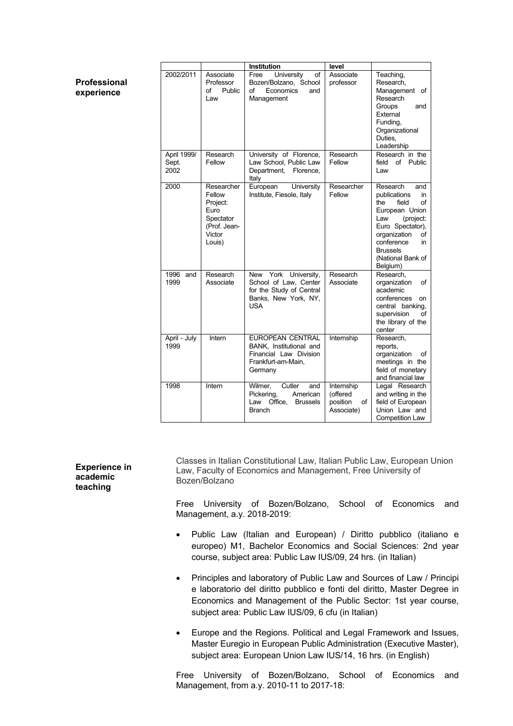|                              |                                                                                           | Institution                                                                                                    | level                                                  |                                                                                                                                                                                                                     |
|------------------------------|-------------------------------------------------------------------------------------------|----------------------------------------------------------------------------------------------------------------|--------------------------------------------------------|---------------------------------------------------------------------------------------------------------------------------------------------------------------------------------------------------------------------|
| 2002/2011                    | Associate<br>Professor<br>Public<br>Ωf<br>Law                                             | University<br>of<br>Free<br>Bozen/Bolzano, School<br>Economics<br>οf<br>and<br>Management                      | Associate<br>professor                                 | Teaching,<br>Research.<br>Management of<br>Research<br>Groups<br>and<br>External<br>Funding,<br>Organizational<br>Duties.<br>Leadership                                                                             |
| April 1999/<br>Sept.<br>2002 | Research<br>Fellow                                                                        | University of Florence,<br>Law School, Public Law<br>Department,<br>Florence,<br>Italy                         | Research<br>Fellow                                     | Research in the<br>field<br>of<br>Public<br>Law                                                                                                                                                                     |
| 2000                         | Researcher<br>Fellow<br>Project:<br>Euro<br>Spectator<br>(Prof. Jean-<br>Victor<br>Louis) | European<br>University<br>Institute, Fiesole, Italy                                                            | Researcher<br>Fellow                                   | Research<br>and<br>publications<br>in<br>the<br>field<br>οf<br>European Union<br>Law<br>(project:<br>Euro Spectator),<br>organization<br>of<br>conference<br>in<br><b>Brussels</b><br>(National Bank of<br>Belgium) |
| 1996<br>and<br>1999          | Research<br>Associate                                                                     | York<br>University,<br>New<br>School of Law, Center<br>for the Study of Central<br>Banks, New York, NY,<br>USA | Research<br>Associate                                  | Research.<br>organization<br>of<br>academic<br>conferences<br>on<br>central banking,<br>supervision<br>of<br>the library of the<br>center                                                                           |
| April - July<br>1999         | Intern                                                                                    | <b>EUROPEAN CENTRAL</b><br>BANK, Institutional and<br>Financial Law Division<br>Frankfurt-am-Main,<br>Germany  | Internship                                             | Research,<br>reports,<br>organization<br>οf<br>meetings in the<br>field of monetary<br>and financial law                                                                                                            |
| 1998                         | Intern                                                                                    | Wilmer,<br>Cutler<br>and<br>Pickering,<br>American<br>Law Office.<br><b>Brussels</b><br><b>Branch</b>          | Internship<br>(offered<br>position<br>of<br>Associate) | Legal Research<br>and writing in the<br>field of European<br>Union Law and<br>Competition Law                                                                                                                       |

Classes in Italian Constitutional Law, Italian Public Law, European Union Law, Faculty of Economics and Management, Free University of Bozen/Bolzano

Free University of Bozen/Bolzano, School of Economics and Management, a.y. 2018-2019:

- Public Law (Italian and European) / Diritto pubblico (italiano e europeo) M1, Bachelor Economics and Social Sciences: 2nd year course, subject area: Public Law IUS/09, 24 hrs. (in Italian)
- Principles and laboratory of Public Law and Sources of Law / Principi e laboratorio del diritto pubblico e fonti del diritto, Master Degree in Economics and Management of the Public Sector: 1st year course, subject area: Public Law IUS/09, 6 cfu (in Italian)
- Europe and the Regions. Political and Legal Framework and Issues, Master Euregio in European Public Administration (Executive Master), subject area: European Union Law IUS/14, 16 hrs. (in English)

Free University of Bozen/Bolzano, School of Economics and Management, from a.y. 2010-11 to 2017-18:

**Experience in academic teaching**

**Professional experience**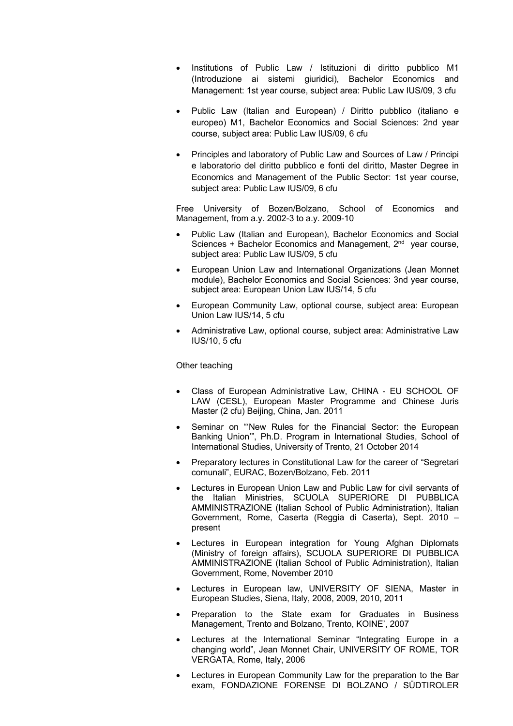- Institutions of Public Law / Istituzioni di diritto pubblico M1 (Introduzione ai sistemi giuridici), Bachelor Economics and Management: 1st year course, subject area: Public Law IUS/09, 3 cfu
- Public Law (Italian and European) / Diritto pubblico (italiano e europeo) M1, Bachelor Economics and Social Sciences: 2nd year course, subject area: Public Law IUS/09, 6 cfu
- Principles and laboratory of Public Law and Sources of Law / Principi e laboratorio del diritto pubblico e fonti del diritto, Master Degree in Economics and Management of the Public Sector: 1st year course, subject area: Public Law IUS/09, 6 cfu

Free University of Bozen/Bolzano, School of Economics and Management, from a.y. 2002-3 to a.y. 2009-10

- Public Law (Italian and European), Bachelor Economics and Social Sciences + Bachelor Economics and Management, 2<sup>nd</sup> year course, subject area: Public Law IUS/09, 5 cfu
- European Union Law and International Organizations (Jean Monnet module), Bachelor Economics and Social Sciences: 3nd year course, subject area: European Union Law IUS/14, 5 cfu
- European Community Law, optional course, subject area: European Union Law IUS/14, 5 cfu
- Administrative Law, optional course, subject area: Administrative Law IUS/10, 5 cfu

### Other teaching

- Class of European Administrative Law, CHINA EU SCHOOL OF LAW (CESL), European Master Programme and Chinese Juris Master (2 cfu) Beijing, China, Jan. 2011
- Seminar on "New Rules for the Financial Sector: the European Banking Union'", Ph.D. Program in International Studies, School of International Studies, University of Trento, 21 October 2014
- Preparatory lectures in Constitutional Law for the career of "Segretari comunali", EURAC, Bozen/Bolzano, Feb. 2011
- Lectures in European Union Law and Public Law for civil servants of the Italian Ministries, SCUOLA SUPERIORE DI PUBBLICA AMMINISTRAZIONE (Italian School of Public Administration), Italian Government, Rome, Caserta (Reggia di Caserta), Sept. 2010 – present
- Lectures in European integration for Young Afghan Diplomats (Ministry of foreign affairs), SCUOLA SUPERIORE DI PUBBLICA AMMINISTRAZIONE (Italian School of Public Administration), Italian Government, Rome, November 2010
- Lectures in European law, UNIVERSITY OF SIENA, Master in European Studies, Siena, Italy, 2008, 2009, 2010, 2011
- Preparation to the State exam for Graduates in Business Management, Trento and Bolzano, Trento, KOINE', 2007
- Lectures at the International Seminar "Integrating Europe in a changing world", Jean Monnet Chair, UNIVERSITY OF ROME, TOR VERGATA, Rome, Italy, 2006
- Lectures in European Community Law for the preparation to the Bar exam, FONDAZIONE FORENSE DI BOLZANO / SÜDTIROLER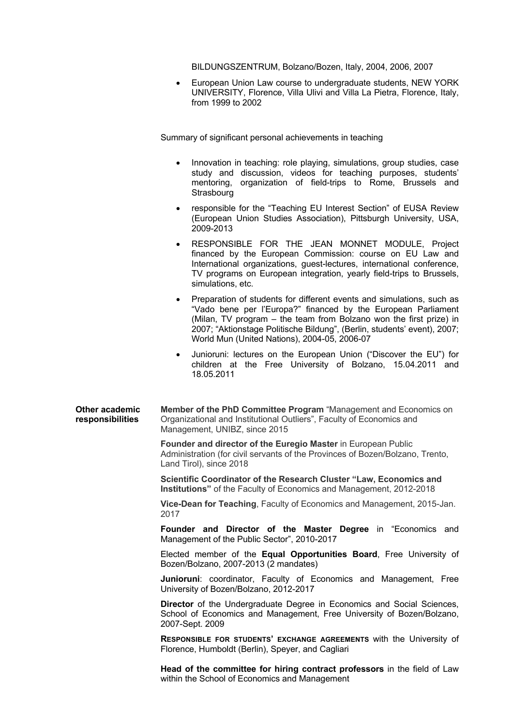BILDUNGSZENTRUM, Bolzano/Bozen, Italy, 2004, 2006, 2007

• European Union Law course to undergraduate students, NEW YORK UNIVERSITY, Florence, Villa Ulivi and Villa La Pietra, Florence, Italy, from 1999 to 2002

Summary of significant personal achievements in teaching

- Innovation in teaching: role playing, simulations, group studies, case study and discussion, videos for teaching purposes, students' mentoring, organization of field-trips to Rome, Brussels and **Strasbourg**
- responsible for the "Teaching EU Interest Section" of EUSA Review (European Union Studies Association), Pittsburgh University, USA, 2009-2013
- RESPONSIBLE FOR THE JEAN MONNET MODULE, Project financed by the European Commission: course on EU Law and International organizations, guest-lectures, international conference, TV programs on European integration, yearly field-trips to Brussels, simulations, etc.
- Preparation of students for different events and simulations, such as "Vado bene per l'Europa?" financed by the European Parliament (Milan, TV program – the team from Bolzano won the first prize) in 2007; "Aktionstage Politische Bildung", (Berlin, students' event), 2007; World Mun (United Nations), 2004-05, 2006-07
- Junioruni: lectures on the European Union ("Discover the EU") for children at the Free University of Bolzano, 15.04.2011 and 18.05.2011

**Other academic responsibilities Member of the PhD Committee Program** "Management and Economics on Organizational and Institutional Outliers", Faculty of Economics and Management, UNIBZ, since 2015

> **Founder and director of the Euregio Master** in European Public Administration (for civil servants of the Provinces of Bozen/Bolzano, Trento, Land Tirol), since 2018

**Scientific Coordinator of the Research Cluster "Law, Economics and Institutions"** of the Faculty of Economics and Management, 2012-2018

**Vice-Dean for Teaching**, Faculty of Economics and Management, 2015-Jan. 2017

**Founder and Director of the Master Degree** in "Economics and Management of the Public Sector", 2010-2017

Elected member of the **Equal Opportunities Board**, Free University of Bozen/Bolzano, 2007-2013 (2 mandates)

**Junioruni**: coordinator, Faculty of Economics and Management, Free University of Bozen/Bolzano, 2012-2017

**Director** of the Undergraduate Degree in Economics and Social Sciences, School of Economics and Management, Free University of Bozen/Bolzano, 2007-Sept. 2009

**RESPONSIBLE FOR STUDENTS' EXCHANGE AGREEMENTS** with the University of Florence, Humboldt (Berlin), Speyer, and Cagliari

**Head of the committee for hiring contract professors** in the field of Law within the School of Economics and Management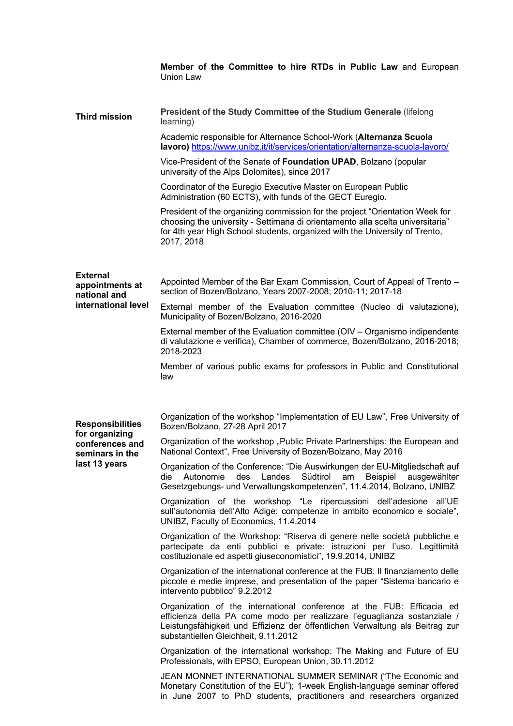|                                                    | Member of the Committee to hire RTDs in Public Law and European<br>Union Law                                                                                                                                                                                              |
|----------------------------------------------------|---------------------------------------------------------------------------------------------------------------------------------------------------------------------------------------------------------------------------------------------------------------------------|
| <b>Third mission</b>                               | President of the Study Committee of the Studium Generale (lifelong<br>learning)                                                                                                                                                                                           |
|                                                    | Academic responsible for Alternance School-Work (Alternanza Scuola<br>lavoro) https://www.unibz.it/it/services/orientation/alternanza-scuola-lavoro/                                                                                                                      |
|                                                    | Vice-President of the Senate of Foundation UPAD, Bolzano (popular<br>university of the Alps Dolomites), since 2017                                                                                                                                                        |
|                                                    | Coordinator of the Euregio Executive Master on European Public<br>Administration (60 ECTS), with funds of the GECT Euregio.                                                                                                                                               |
|                                                    | President of the organizing commission for the project "Orientation Week for<br>choosing the university - Settimana di orientamento alla scelta universitaria"<br>for 4th year High School students, organized with the University of Trento,<br>2017, 2018               |
| <b>External</b><br>appointments at<br>national and | Appointed Member of the Bar Exam Commission, Court of Appeal of Trento -<br>section of Bozen/Bolzano, Years 2007-2008; 2010-11; 2017-18                                                                                                                                   |
| international level                                | External member of the Evaluation committee (Nucleo di valutazione),<br>Municipality of Bozen/Bolzano, 2016-2020                                                                                                                                                          |
|                                                    | External member of the Evaluation committee (OIV – Organismo indipendente<br>di valutazione e verifica), Chamber of commerce, Bozen/Bolzano, 2016-2018;<br>2018-2023                                                                                                      |
|                                                    | Member of various public exams for professors in Public and Constitutional<br>law                                                                                                                                                                                         |
| <b>Responsibilities</b><br>for organizing          | Organization of the workshop "Implementation of EU Law", Free University of<br>Bozen/Bolzano, 27-28 April 2017                                                                                                                                                            |
| conferences and<br>seminars in the                 | Organization of the workshop "Public Private Partnerships: the European and<br>National Context", Free University of Bozen/Bolzano, May 2016                                                                                                                              |
| last 13 years                                      | Organization of the Conference: "Die Auswirkungen der EU-Mitgliedschaft auf<br>des Landes Südtirol am<br>Beispiel<br>die<br>Autonomie<br>ausgewählter<br>Gesetzgebungs- und Verwaltungskompetenzen", 11.4.2014, Bolzano, UNIBZ                                            |
|                                                    | Organization of the workshop "Le ripercussioni dell'adesione all'UE<br>sull'autonomia dell'Alto Adige: competenze in ambito economico e sociale",<br>UNIBZ, Faculty of Economics, 11.4.2014                                                                               |
|                                                    | Organization of the Workshop: "Riserva di genere nelle società pubbliche e<br>partecipate da enti pubblici e private: istruzioni per l'uso. Legittimità<br>costituzionale ed aspetti giuseconomistici", 19.9.2014, UNIBZ                                                  |
|                                                    | Organization of the international conference at the FUB: Il finanziamento delle<br>piccole e medie imprese, and presentation of the paper "Sistema bancario e<br>intervento pubblico" 9.2.2012                                                                            |
|                                                    | Organization of the international conference at the FUB: Efficacia ed<br>efficienza della PA come modo per realizzare l'eguaglianza sostanziale /<br>Leistungsfähigkeit und Effizienz der öffentlichen Verwaltung als Beitrag zur<br>substantiellen Gleichheit, 9.11.2012 |
|                                                    | Organization of the international workshop: The Making and Future of EU<br>Professionals, with EPSO, European Union, 30.11.2012                                                                                                                                           |
|                                                    | JEAN MONNET INTERNATIONAL SUMMER SEMINAR ("The Economic and<br>Monetary Constitution of the EU"); 1-week English-language seminar offered<br>in June 2007 to PhD students, practitioners and researchers organized                                                        |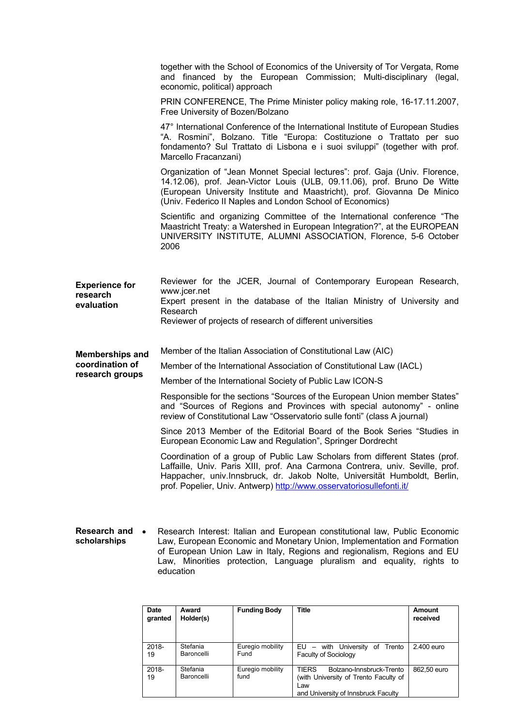|                                   | together with the School of Economics of the University of Tor Vergata, Rome<br>and financed by the European Commission; Multi-disciplinary (legal,<br>economic, political) approach                                                                                                                              |
|-----------------------------------|-------------------------------------------------------------------------------------------------------------------------------------------------------------------------------------------------------------------------------------------------------------------------------------------------------------------|
|                                   | PRIN CONFERENCE, The Prime Minister policy making role, 16-17.11.2007,<br>Free University of Bozen/Bolzano                                                                                                                                                                                                        |
|                                   | 47° International Conference of the International Institute of European Studies<br>"A. Rosmini", Bolzano. Title "Europa: Costituzione o Trattato per suo<br>fondamento? Sul Trattato di Lisbona e i suoi sviluppi" (together with prof.<br>Marcello Fracanzani)                                                   |
|                                   | Organization of "Jean Monnet Special lectures": prof. Gaja (Univ. Florence,<br>14.12.06), prof. Jean-Victor Louis (ULB, 09.11.06), prof. Bruno De Witte<br>(European University Institute and Maastricht), prof. Giovanna De Minico<br>(Univ. Federico II Naples and London School of Economics)                  |
|                                   | Scientific and organizing Committee of the International conference "The<br>Maastricht Treaty: a Watershed in European Integration?", at the EUROPEAN<br>UNIVERSITY INSTITUTE, ALUMNI ASSOCIATION, Florence, 5-6 October<br>2006                                                                                  |
|                                   |                                                                                                                                                                                                                                                                                                                   |
| <b>Experience for</b><br>research | Reviewer for the JCER, Journal of Contemporary European Research,<br>www.jcer.net                                                                                                                                                                                                                                 |
| evaluation                        | Expert present in the database of the Italian Ministry of University and<br>Research<br>Reviewer of projects of research of different universities                                                                                                                                                                |
| <b>Memberships and</b>            | Member of the Italian Association of Constitutional Law (AIC)                                                                                                                                                                                                                                                     |
| coordination of                   | Member of the International Association of Constitutional Law (IACL)                                                                                                                                                                                                                                              |
| research groups                   | Member of the International Society of Public Law ICON-S                                                                                                                                                                                                                                                          |
|                                   | Responsible for the sections "Sources of the European Union member States"<br>and "Sources of Regions and Provinces with special autonomy" - online<br>review of Constitutional Law "Osservatorio sulle fonti" (class A journal)                                                                                  |
|                                   | Since 2013 Member of the Editorial Board of the Book Series "Studies in<br>European Economic Law and Regulation", Springer Dordrecht                                                                                                                                                                              |
|                                   | Coordination of a group of Public Law Scholars from different States (prof.<br>Laffaille, Univ. Paris XIII, prof. Ana Carmona Contrera, univ. Seville, prof.<br>Happacher, univ.Innsbruck, dr. Jakob Nolte, Universität Humboldt, Berlin,<br>prof. Popelier, Univ. Antwerp) http://www.osservatoriosullefonti.it/ |
|                                   |                                                                                                                                                                                                                                                                                                                   |
| <b>Research and</b>               | Research Interest: Italian and European constitutional law, Public Economic                                                                                                                                                                                                                                       |

**scholarships** Law, European Economic and Monetary Union, Implementation and Formation of European Union Law in Italy, Regions and regionalism, Regions and EU Law, Minorities protection, Language pluralism and equality, rights to education

| <b>Date</b><br>granted | Award<br>Holder(s)     | <b>Funding Body</b>      | Title                                                                                                                           | Amount<br>received |
|------------------------|------------------------|--------------------------|---------------------------------------------------------------------------------------------------------------------------------|--------------------|
| $2018 -$<br>19         | Stefania<br>Baroncelli | Euregio mobility<br>Fund | EU - with University of Trento<br><b>Faculty of Sociology</b>                                                                   | 2.400 euro         |
| $2018 -$<br>19         | Stefania<br>Baroncelli | Euregio mobility<br>fund | <b>TIFRS</b><br>Bolzano-Innsbruck-Trento<br>(with University of Trento Faculty of<br>Law<br>and University of Innsbruck Faculty | 862.50 euro        |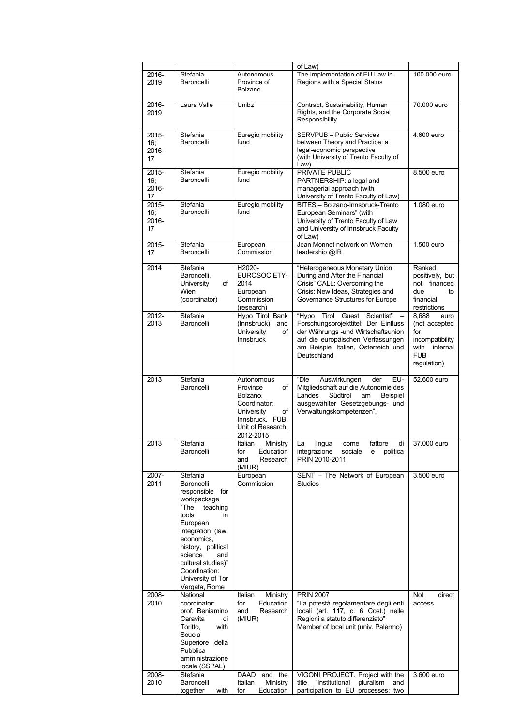|                             |                                                                                                                                                                                                                                                                 |                                                                                                                                   | of Law)                                                                                                                                                                                                |                                                                                                           |
|-----------------------------|-----------------------------------------------------------------------------------------------------------------------------------------------------------------------------------------------------------------------------------------------------------------|-----------------------------------------------------------------------------------------------------------------------------------|--------------------------------------------------------------------------------------------------------------------------------------------------------------------------------------------------------|-----------------------------------------------------------------------------------------------------------|
| 2016-<br>2019               | Stefania<br>Baroncelli                                                                                                                                                                                                                                          | Autonomous<br>Province of<br>Bolzano                                                                                              | The Implementation of EU Law in<br>Regions with a Special Status                                                                                                                                       | 100.000 euro                                                                                              |
| 2016-<br>2019               | Laura Valle                                                                                                                                                                                                                                                     | Unibz                                                                                                                             | Contract, Sustainability, Human<br>Rights, and the Corporate Social<br>Responsibility                                                                                                                  | 70.000 euro                                                                                               |
| 2015-<br>16;<br>2016-<br>17 | Stefania<br>Baroncelli                                                                                                                                                                                                                                          | Euregio mobility<br>fund                                                                                                          | <b>SERVPUB - Public Services</b><br>between Theory and Practice: a<br>legal-economic perspective<br>(with University of Trento Faculty of<br>Law)                                                      | 4.600 euro                                                                                                |
| 2015-<br>16:<br>2016-<br>17 | Stefania<br>Baroncelli                                                                                                                                                                                                                                          | Euregio mobility<br>fund                                                                                                          | PRIVATE PUBLIC<br>PARTNERSHIP: a legal and<br>managerial approach (with<br>University of Trento Faculty of Law)                                                                                        | 8.500 euro                                                                                                |
| 2015-<br>16;<br>2016-<br>17 | Stefania<br>Baroncelli                                                                                                                                                                                                                                          | Euregio mobility<br>fund                                                                                                          | BITES - Bolzano-Innsbruck-Trento<br>European Seminars" (with<br>University of Trento Faculty of Law<br>and University of Innsbruck Faculty<br>of Law)                                                  | 1.080 euro                                                                                                |
| 2015-<br>17                 | Stefania<br>Baroncelli                                                                                                                                                                                                                                          | European<br>Commission                                                                                                            | Jean Monnet network on Women<br>leadership @IR                                                                                                                                                         | 1.500 euro                                                                                                |
| 2014                        | Stefania<br>Baroncelli,<br>University<br>of<br>Wien<br>(coordinator)                                                                                                                                                                                            | H2020-<br><b>EUROSOCIETY-</b><br>2014<br>European<br>Commission<br>(research)                                                     | "Heterogeneous Monetary Union<br>During and After the Financial<br>Crisis" CALL: Overcoming the<br>Crisis: New Ideas, Strategies and<br>Governance Structures for Europe                               | Ranked<br>positively, but<br>not financed<br>due<br>to<br>financial<br>restrictions                       |
| 2012-<br>2013               | Stefania<br>Baroncelli                                                                                                                                                                                                                                          | Hypo Tirol Bank<br>(Innsbruck)<br>and<br>University<br>of<br><b>Innsbruck</b>                                                     | "Hypo Tirol Guest Scientist"<br>Forschungsprojekttitel: Der Einfluss<br>der Währungs - und Wirtschaftsunion<br>auf die europäischen Verfassungen<br>am Beispiel Italien, Österreich und<br>Deutschland | 8,688<br>euro<br>(not accepted<br>for<br>incompatibility<br>with<br>internal<br><b>FUB</b><br>regulation) |
| 2013                        | Stefania<br>Baroncelli                                                                                                                                                                                                                                          | Autonomous<br>Province<br>of<br>Bolzano.<br>Coordinator:<br>University<br>of<br>Innsbruck. FUB:<br>Unit of Research,<br>2012-2015 | "Die<br>Auswirkungen<br>EU-<br>der<br>Mitgliedschaft auf die Autonomie des<br>Landes<br>Südtirol<br>Beispiel<br>am<br>ausgewählter Gesetzgebungs- und<br>Verwaltungskompetenzen",                      | 52.600 euro                                                                                               |
| 2013                        | Stefania<br>Baroncelli                                                                                                                                                                                                                                          | Italian<br>Ministry<br>tor<br>Education<br>and<br>Research<br>(MIUR)                                                              | fattore<br>La<br>lingua<br>di<br>come<br>integrazione sociale e<br>politica<br>PRIN 2010-2011                                                                                                          | 37.000 euro                                                                                               |
| 2007-<br>2011               | Stefania<br>Baroncelli<br>responsible for<br>workpackage<br>"The<br>teaching<br>tools<br>in<br>European<br>integration (law,<br>economics,<br>history, political<br>science<br>and<br>cultural studies)"<br>Coordination:<br>University of Tor<br>Vergata, Rome | European<br>Commission                                                                                                            | SENT - The Network of European<br>Studies                                                                                                                                                              | 3.500 euro                                                                                                |
| 2008-<br>2010               | National<br>coordinator:<br>prof. Beniamino<br>Caravita<br>di<br>Toritto,<br>with<br>Scuola<br>Superiore della<br>Pubblica<br>amministrazione<br>locale (SSPAL)                                                                                                 | Ministry<br>Italian<br>Education<br>for<br>and<br>Research<br>(MIUR)                                                              | <b>PRIN 2007</b><br>"La potestà regolamentare degli enti<br>locali (art. 117, c. 6 Cost.) nelle<br>Regioni a statuto differenziato"<br>Member of local unit (univ. Palermo)                            | Not<br>direct<br>access                                                                                   |
| 2008-<br>2010               | Stefania<br>Baroncelli<br>together<br>with                                                                                                                                                                                                                      | and the<br>DAAD<br>Italian<br>Ministry<br>Education<br>for                                                                        | VIGONI PROJECT. Project with the<br>"Institutional<br>title<br>pluralism<br>and<br>participation to EU processes: two                                                                                  | 3.600 euro                                                                                                |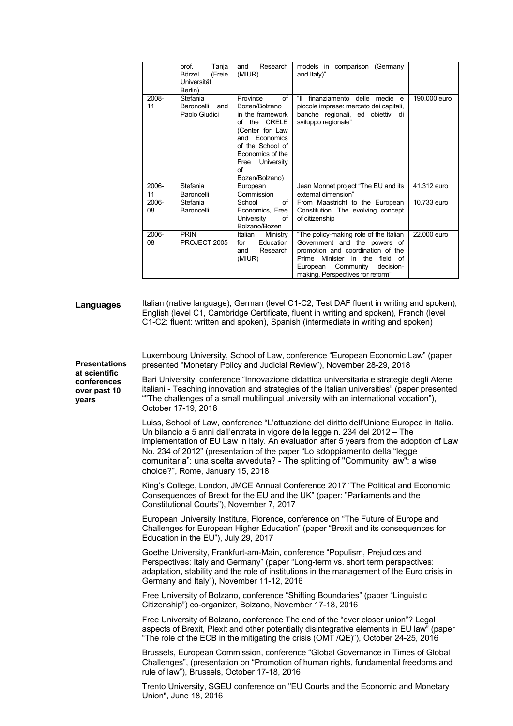|             | prof.<br>Tanja<br>Börzel<br>(Freie<br>Universität<br>Berlin) | Research<br>and<br>(MIUR)                                                                                                                                                                        | models in comparison (Germany<br>and Italy)"                                                                                                                                                                                  |              |
|-------------|--------------------------------------------------------------|--------------------------------------------------------------------------------------------------------------------------------------------------------------------------------------------------|-------------------------------------------------------------------------------------------------------------------------------------------------------------------------------------------------------------------------------|--------------|
| 2008-<br>11 | Stefania<br>Baroncelli<br>and<br>Paolo Giudici               | Province<br>of<br>Bozen/Bolzano<br>in the framework<br>of the CRELE<br>(Center for Law<br>Economics<br>and<br>of the School of<br>Economics of the<br>University<br>Free<br>of<br>Bozen/Bolzano) | "॥<br>finanziamento delle medie e<br>piccole imprese: mercato dei capitali,<br>banche regionali, ed obiettivi di<br>sviluppo regionale"                                                                                       | 190,000 euro |
| 2006-<br>11 | Stefania<br>Baroncelli                                       | European<br>Commission                                                                                                                                                                           | Jean Monnet project "The EU and its<br>external dimension"                                                                                                                                                                    | 41.312 euro  |
| 2006-<br>08 | Stefania<br>Baroncelli                                       | οf<br>School<br>Economics, Free<br>University<br>οf<br>Bolzano/Bozen                                                                                                                             | From Maastricht to the European<br>Constitution. The evolving concept<br>of citizenship                                                                                                                                       | 10.733 euro  |
| 2006-<br>08 | <b>PRIN</b><br>PROJECT 2005                                  | Italian<br>Ministry<br>Education<br>for<br>Research<br>and<br>(MIUR)                                                                                                                             | "The policy-making role of the Italian<br>Government and the powers of<br>promotion and coordination of the<br>Prime Minister in the<br>field<br>of<br>Community<br>European<br>decision-<br>making. Perspectives for reform" | 22,000 euro  |

**Languages** Italian (native language), German (level C1-C2, Test DAF fluent in writing and spoken), English (level C1, Cambridge Certificate, fluent in writing and spoken), French (level C1-C2: fluent: written and spoken), Spanish (intermediate in writing and spoken)

**Presentations at scientific conferences over past 10 years** 

Luxembourg University, School of Law, conference "European Economic Law" (paper presented "Monetary Policy and Judicial Review"), November 28-29, 2018

Bari University, conference "Innovazione didattica universitaria e strategie degli Atenei italiani - Teaching innovation and strategies of the Italian universities" (paper presented ""The challenges of a small multilingual university with an international vocation"), October 17-19, 2018

Luiss, School of Law, conference "L'attuazione del diritto dell'Unione Europea in Italia. Un bilancio a 5 anni dall'entrata in vigore della legge n. 234 del 2012 – The implementation of EU Law in Italy. An evaluation after 5 years from the adoption of Law No. 234 of 2012" (presentation of the paper "Lo sdoppiamento della "legge comunitaria": una scelta avveduta? - The splitting of "Community law": a wise choice?", Rome, January 15, 2018

King's College, London, JMCE Annual Conference 2017 "The Political and Economic Consequences of Brexit for the EU and the UK" (paper: "Parliaments and the Constitutional Courts"), November 7, 2017

European University Institute, Florence, conference on "The Future of Europe and Challenges for European Higher Education" (paper "Brexit and its consequences for Education in the EU"), July 29, 2017

Goethe University, Frankfurt-am-Main, conference "Populism, Prejudices and Perspectives: Italy and Germany" (paper "Long-term vs. short term perspectives: adaptation, stability and the role of institutions in the management of the Euro crisis in Germany and Italy"), November 11-12, 2016

Free University of Bolzano, conference "Shifting Boundaries" (paper "Linguistic Citizenship") co-organizer, Bolzano, November 17-18, 2016

Free University of Bolzano, conference The end of the "ever closer union"? Legal aspects of Brexit, Plexit and other potentially disintegrative elements in EU law" (paper "The role of the ECB in the mitigating the crisis (OMT /QE)"), October 24-25, 2016

Brussels, European Commission, conference "Global Governance in Times of Global Challenges", (presentation on "Promotion of human rights, fundamental freedoms and rule of law"), Brussels, October 17-18, 2016

Trento University, SGEU conference on "EU Courts and the Economic and Monetary Union", June 18, 2016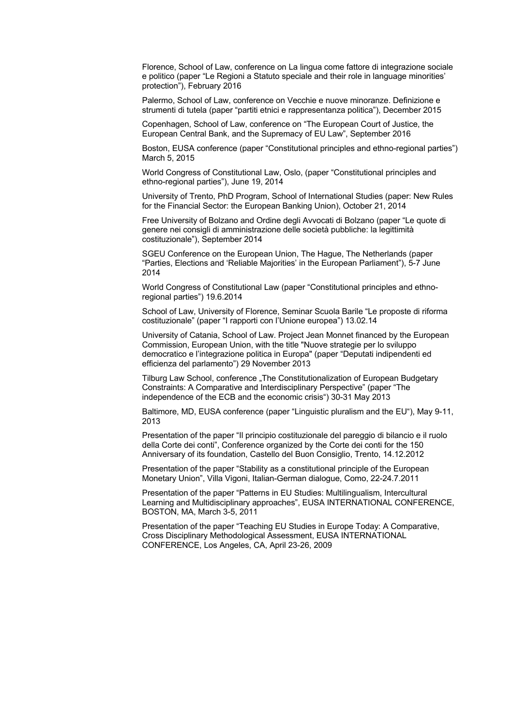Florence, School of Law, conference on La lingua come fattore di integrazione sociale e politico (paper "Le Regioni a Statuto speciale and their role in language minorities' protection"), February 2016

Palermo, School of Law, conference on Vecchie e nuove minoranze. Definizione e strumenti di tutela (paper "partiti etnici e rappresentanza politica"), December 2015

Copenhagen, School of Law, conference on "The European Court of Justice, the European Central Bank, and the Supremacy of EU Law", September 2016

Boston, EUSA conference (paper "Constitutional principles and ethno-regional parties") March 5, 2015

World Congress of Constitutional Law, Oslo, (paper "Constitutional principles and ethno-regional parties"), June 19, 2014

University of Trento, PhD Program, School of International Studies (paper: New Rules for the Financial Sector: the European Banking Union), October 21, 2014

Free University of Bolzano and Ordine degli Avvocati di Bolzano (paper "Le quote di genere nei consigli di amministrazione delle società pubbliche: la legittimità costituzionale"), September 2014

SGEU Conference on the European Union, The Hague, The Netherlands (paper "Parties, Elections and 'Reliable Majorities' in the European Parliament"), 5-7 June 2014

World Congress of Constitutional Law (paper "Constitutional principles and ethnoregional parties") 19.6.2014

School of Law, University of Florence, Seminar Scuola Barile "Le proposte di riforma costituzionale" (paper "I rapporti con l'Unione europea") 13.02.14

University of Catania, School of Law. Project Jean Monnet financed by the European Commission, European Union, with the title "Nuove strategie per lo sviluppo democratico e l'integrazione politica in Europa" (paper "Deputati indipendenti ed efficienza del parlamento") 29 November 2013

Tilburg Law School, conference "The Constitutionalization of European Budgetary Constraints: A Comparative and Interdisciplinary Perspective" (paper "The independence of the ECB and the economic crisis") 30-31 May 2013

Baltimore, MD, EUSA conference (paper "Linguistic pluralism and the EU"), May 9-11, 2013

Presentation of the paper "Il principio costituzionale del pareggio di bilancio e il ruolo della Corte dei conti", Conference organized by the Corte dei conti for the 150 Anniversary of its foundation, Castello del Buon Consiglio, Trento, 14.12.2012

Presentation of the paper "Stability as a constitutional principle of the European Monetary Union", Villa Vigoni, Italian-German dialogue, Como, 22-24.7.2011

Presentation of the paper "Patterns in EU Studies: Multilingualism, Intercultural Learning and Multidisciplinary approaches", EUSA INTERNATIONAL CONFERENCE, BOSTON, MA, March 3-5, 2011

Presentation of the paper "Teaching EU Studies in Europe Today: A Comparative, Cross Disciplinary Methodological Assessment, EUSA INTERNATIONAL CONFERENCE, Los Angeles, CA, April 23-26, 2009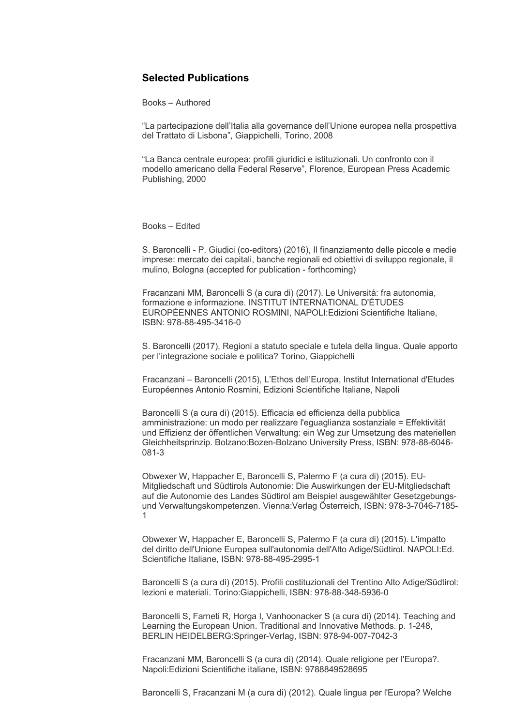## **Selected Publications**

Books – Authored

"La partecipazione dell'Italia alla governance dell'Unione europea nella prospettiva del Trattato di Lisbona", Giappichelli, Torino, 2008

"La Banca centrale europea: profili giuridici e istituzionali. Un confronto con il modello americano della Federal Reserve", Florence, European Press Academic Publishing, 2000

Books – Edited

S. Baroncelli - P. Giudici (co-editors) (2016), Il finanziamento delle piccole e medie imprese: mercato dei capitali, banche regionali ed obiettivi di sviluppo regionale, il mulino, Bologna (accepted for publication - forthcoming)

Fracanzani MM, Baroncelli S (a cura di) (2017). Le Università: fra autonomia, formazione e informazione. INSTITUT INTERNATIONAL D'ÉTUDES EUROPÉENNES ANTONIO ROSMINI, NAPOLI:Edizioni Scientifiche Italiane, ISBN: 978-88-495-3416-0

S. Baroncelli (2017), Regioni a statuto speciale e tutela della lingua. Quale apporto per l'integrazione sociale e politica? Torino, Giappichelli

Fracanzani – Baroncelli (2015), L'Ethos dell'Europa, Institut International d'Etudes Européennes Antonio Rosmini, Edizioni Scientifiche Italiane, Napoli

Baroncelli S (a cura di) (2015). Efficacia ed efficienza della pubblica amministrazione: un modo per realizzare l'eguaglianza sostanziale = Effektivität und Effizienz der öffentlichen Verwaltung: ein Weg zur Umsetzung des materiellen Gleichheitsprinzip. Bolzano:Bozen-Bolzano University Press, ISBN: 978-88-6046- 081-3

Obwexer W, Happacher E, Baroncelli S, Palermo F (a cura di) (2015). EU-Mitgliedschaft und Südtirols Autonomie: Die Auswirkungen der EU-Mitgliedschaft auf die Autonomie des Landes Südtirol am Beispiel ausgewählter Gesetzgebungsund Verwaltungskompetenzen. Vienna:Verlag Österreich, ISBN: 978-3-7046-7185- 1

Obwexer W, Happacher E, Baroncelli S, Palermo F (a cura di) (2015). L'impatto del diritto dell'Unione Europea sull'autonomia dell'Alto Adige/Südtirol. NAPOLI:Ed. Scientifiche Italiane, ISBN: 978-88-495-2995-1

Baroncelli S (a cura di) (2015). Profili costituzionali del Trentino Alto Adige/Südtirol: lezioni e materiali. Torino:Giappichelli, ISBN: 978-88-348-5936-0

Baroncelli S, Farneti R, Horga I, Vanhoonacker S (a cura di) (2014). Teaching and Learning the European Union. Traditional and Innovative Methods. p. 1-248, BERLIN HEIDELBERG:Springer-Verlag, ISBN: 978-94-007-7042-3

Fracanzani MM, Baroncelli S (a cura di) (2014). Quale religione per l'Europa?. Napoli:Edizioni Scientifiche italiane, ISBN: 9788849528695

Baroncelli S, Fracanzani M (a cura di) (2012). Quale lingua per l'Europa? Welche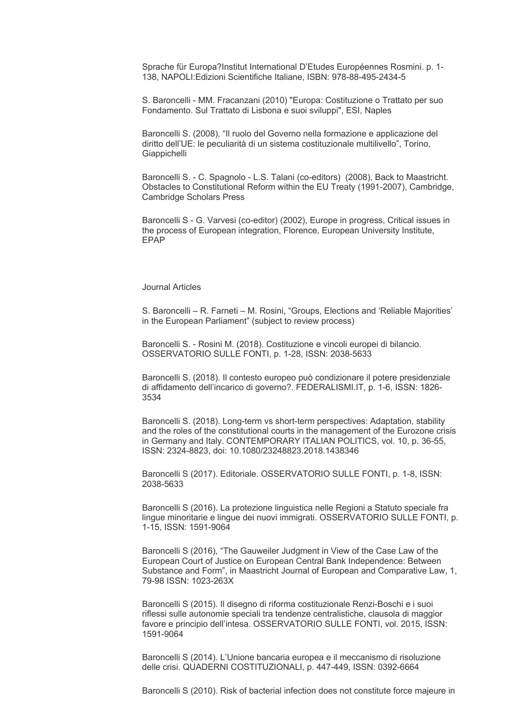Sprache für Europa?Institut International D'Etudes Européennes Rosmini. p. 1- 138, NAPOLI:Edizioni Scientifiche Italiane, ISBN: 978-88-495-2434-5

S. Baroncelli - MM. Fracanzani (2010) "Europa: Costituzione o Trattato per suo Fondamento. Sul Trattato di Lisbona e suoi sviluppi", ESI, Naples

Baroncelli S. (2008), "Il ruolo del Governo nella formazione e applicazione del diritto dell'UE: le peculiarità di un sistema costituzionale multilivello", Torino, **Giappichelli** 

Baroncelli S. - C. Spagnolo - L.S. Talani (co-editors) (2008), Back to Maastricht. Obstacles to Constitutional Reform within the EU Treaty (1991-2007), Cambridge, Cambridge Scholars Press

Baroncelli S - G. Varvesi (co-editor) (2002), Europe in progress, Critical issues in the process of European integration, Florence, European University Institute, EPAP

#### Journal Articles

S. Baroncelli – R. Farneti – M. Rosini, "Groups, Elections and 'Reliable Majorities' in the European Parliament" (subject to review process)

Baroncelli S. - Rosini M. (2018). Costituzione e vincoli europei di bilancio. OSSERVATORIO SULLE FONTI, p. 1-28, ISSN: 2038-5633

Baroncelli S. (2018). Il contesto europeo può condizionare il potere presidenziale di affidamento dell'incarico di governo?. FEDERALISMI.IT, p. 1-6, ISSN: 1826- 3534

Baroncelli S. (2018). Long-term vs short-term perspectives: Adaptation, stability and the roles of the constitutional courts in the management of the Eurozone crisis in Germany and Italy. CONTEMPORARY ITALIAN POLITICS, vol. 10, p. 36-55, ISSN: 2324-8823, doi: 10.1080/23248823.2018.1438346

Baroncelli S (2017). Editoriale. OSSERVATORIO SULLE FONTI, p. 1-8, ISSN: 2038-5633

Baroncelli S (2016). La protezione linguistica nelle Regioni a Statuto speciale fra lingue minoritarie e lingue dei nuovi immigrati. OSSERVATORIO SULLE FONTI, p. 1-15, ISSN: 1591-9064

Baroncelli S (2016), "The Gauweiler Judgment in View of the Case Law of the European Court of Justice on European Central Bank Independence: Between Substance and Form", in Maastricht Journal of European and Comparative Law, 1, 79-98 ISSN: 1023-263X

Baroncelli S (2015). Il disegno di riforma costituzionale Renzi-Boschi e i suoi riflessi sulle autonomie speciali tra tendenze centralistiche, clausola di maggior favore e principio dell'intesa. OSSERVATORIO SULLE FONTI, vol. 2015, ISSN: 1591-9064

Baroncelli S (2014). L'Unione bancaria europea e il meccanismo di risoluzione delle crisi. QUADERNI COSTITUZIONALI, p. 447-449, ISSN: 0392-6664

Baroncelli S (2010). Risk of bacterial infection does not constitute force majeure in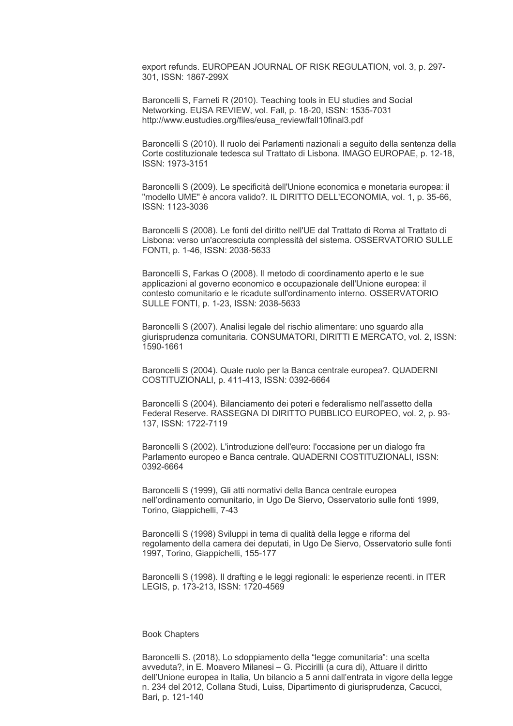export refunds. EUROPEAN JOURNAL OF RISK REGULATION, vol. 3, p. 297- 301, ISSN: 1867-299X

Baroncelli S, Farneti R (2010). Teaching tools in EU studies and Social Networking. EUSA REVIEW, vol. Fall, p. 18-20, ISSN: 1535-7031 http://www.eustudies.org/files/eusa\_review/fall10final3.pdf

Baroncelli S (2010). Il ruolo dei Parlamenti nazionali a seguito della sentenza della Corte costituzionale tedesca sul Trattato di Lisbona. IMAGO EUROPAE, p. 12-18, ISSN: 1973-3151

Baroncelli S (2009). Le specificità dell'Unione economica e monetaria europea: il "modello UME" è ancora valido?. IL DIRITTO DELL'ECONOMIA, vol. 1, p. 35-66, ISSN: 1123-3036

Baroncelli S (2008). Le fonti del diritto nell'UE dal Trattato di Roma al Trattato di Lisbona: verso un'accresciuta complessità del sistema. OSSERVATORIO SULLE FONTI, p. 1-46, ISSN: 2038-5633

Baroncelli S, Farkas O (2008). Il metodo di coordinamento aperto e le sue applicazioni al governo economico e occupazionale dell'Unione europea: il contesto comunitario e le ricadute sull'ordinamento interno. OSSERVATORIO SULLE FONTI, p. 1-23, ISSN: 2038-5633

Baroncelli S (2007). Analisi legale del rischio alimentare: uno sguardo alla giurisprudenza comunitaria. CONSUMATORI, DIRITTI E MERCATO, vol. 2, ISSN: 1590-1661

Baroncelli S (2004). Quale ruolo per la Banca centrale europea?. QUADERNI COSTITUZIONALI, p. 411-413, ISSN: 0392-6664

Baroncelli S (2004). Bilanciamento dei poteri e federalismo nell'assetto della Federal Reserve. RASSEGNA DI DIRITTO PUBBLICO EUROPEO, vol. 2, p. 93- 137, ISSN: 1722-7119

Baroncelli S (2002). L'introduzione dell'euro: l'occasione per un dialogo fra Parlamento europeo e Banca centrale. QUADERNI COSTITUZIONALI, ISSN: 0392-6664

Baroncelli S (1999), Gli atti normativi della Banca centrale europea nell'ordinamento comunitario, in Ugo De Siervo, Osservatorio sulle fonti 1999, Torino, Giappichelli, 7-43

Baroncelli S (1998) Sviluppi in tema di qualità della legge e riforma del regolamento della camera dei deputati, in Ugo De Siervo, Osservatorio sulle fonti 1997, Torino, Giappichelli, 155-177

Baroncelli S (1998). Il drafting e le leggi regionali: le esperienze recenti. in ITER LEGIS, p. 173-213, ISSN: 1720-4569

#### Book Chapters

Baroncelli S. (2018), Lo sdoppiamento della "legge comunitaria": una scelta avveduta?, in E. Moavero Milanesi – G. Piccirilli (a cura di), Attuare il diritto dell'Unione europea in Italia, Un bilancio a 5 anni dall'entrata in vigore della legge n. 234 del 2012, Collana Studi, Luiss, Dipartimento di giurisprudenza, Cacucci, Bari, p. 121-140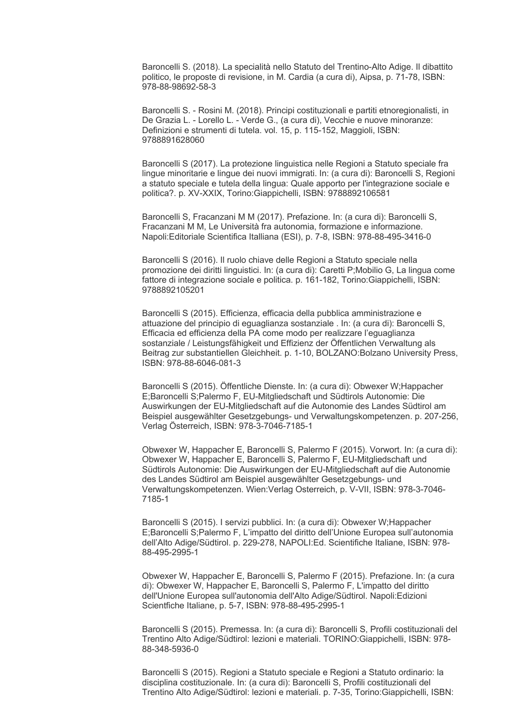Baroncelli S. (2018). La specialità nello Statuto del Trentino-Alto Adige. Il dibattito politico, le proposte di revisione, in M. Cardia (a cura di), Aipsa, p. 71-78, ISBN: 978-88-98692-58-3

Baroncelli S. - Rosini M. (2018). Principi costituzionali e partiti etnoregionalisti, in De Grazia L. - Lorello L. - Verde G., (a cura di), Vecchie e nuove minoranze: Definizioni e strumenti di tutela. vol. 15, p. 115-152, Maggioli, ISBN: 9788891628060

Baroncelli S (2017). La protezione linguistica nelle Regioni a Statuto speciale fra lingue minoritarie e lingue dei nuovi immigrati. In: (a cura di): Baroncelli S, Regioni a statuto speciale e tutela della lingua: Quale apporto per l'integrazione sociale e politica?. p. XV-XXIX, Torino:Giappichelli, ISBN: 9788892106581

Baroncelli S, Fracanzani M M (2017). Prefazione. In: (a cura di): Baroncelli S, Fracanzani M M, Le Università fra autonomia, formazione e informazione. Napoli:Editoriale Scientifica Italliana (ESI), p. 7-8, ISBN: 978-88-495-3416-0

Baroncelli S (2016). Il ruolo chiave delle Regioni a Statuto speciale nella promozione dei diritti linguistici. In: (a cura di): Caretti P;Mobilio G, La lingua come fattore di integrazione sociale e politica. p. 161-182, Torino:Giappichelli, ISBN: 9788892105201

Baroncelli S (2015). Efficienza, efficacia della pubblica amministrazione e attuazione del principio di eguaglianza sostanziale . In: (a cura di): Baroncelli S, Efficacia ed efficienza della PA come modo per realizzare l'eguaglianza sostanziale / Leistungsfähigkeit und Effizienz der Öffentlichen Verwaltung als Beitrag zur substantiellen Gleichheit. p. 1-10, BOLZANO:Bolzano University Press, ISBN: 978-88-6046-081-3

Baroncelli S (2015). Öffentliche Dienste. In: (a cura di): Obwexer W;Happacher E;Baroncelli S;Palermo F, EU-Mitgliedschaft und Südtirols Autonomie: Die Auswirkungen der EU-Mitgliedschaft auf die Autonomie des Landes Südtirol am Beispiel ausgewählter Gesetzgebungs- und Verwaltungskompetenzen. p. 207-256, Verlag Österreich, ISBN: 978-3-7046-7185-1

Obwexer W, Happacher E, Baroncelli S, Palermo F (2015). Vorwort. In: (a cura di): Obwexer W, Happacher E, Baroncelli S, Palermo F, EU-Mitgliedschaft und Südtirols Autonomie: Die Auswirkungen der EU-Mitgliedschaft auf die Autonomie des Landes Südtirol am Beispiel ausgewählter Gesetzgebungs- und Verwaltungskompetenzen. Wien:Verlag Osterreich, p. V-VII, ISBN: 978-3-7046- 7185-1

Baroncelli S (2015). I servizi pubblici. In: (a cura di): Obwexer W;Happacher E;Baroncelli S;Palermo F, L'impatto del diritto dell'Unione Europea sull'autonomia dell'Alto Adige/Südtirol. p. 229-278, NAPOLI:Ed. Scientifiche Italiane, ISBN: 978- 88-495-2995-1

Obwexer W, Happacher E, Baroncelli S, Palermo F (2015). Prefazione. In: (a cura di): Obwexer W, Happacher E, Baroncelli S, Palermo F, L'impatto del diritto dell'Unione Europea sull'autonomia dell'Alto Adige/Südtirol. Napoli:Edizioni Scientfiche Italiane, p. 5-7, ISBN: 978-88-495-2995-1

Baroncelli S (2015). Premessa. In: (a cura di): Baroncelli S, Profili costituzionali del Trentino Alto Adige/Südtirol: lezioni e materiali. TORINO:Giappichelli, ISBN: 978- 88-348-5936-0

Baroncelli S (2015). Regioni a Statuto speciale e Regioni a Statuto ordinario: la disciplina costituzionale. In: (a cura di): Baroncelli S, Profili costituzionali del Trentino Alto Adige/Südtirol: lezioni e materiali. p. 7-35, Torino:Giappichelli, ISBN: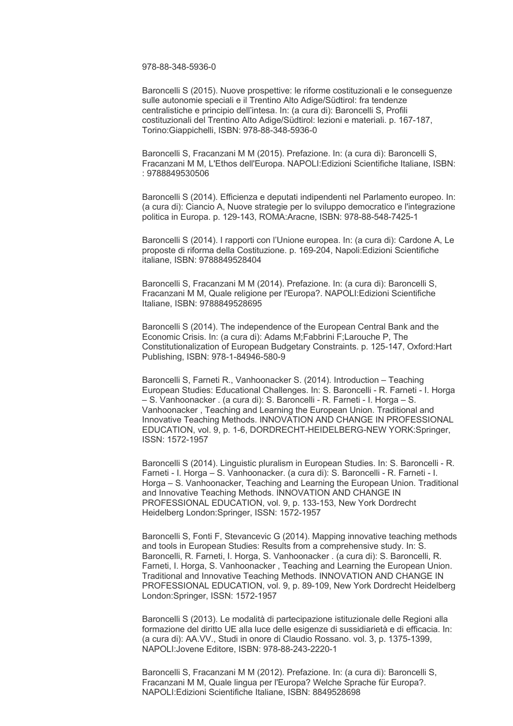978-88-348-5936-0

Baroncelli S (2015). Nuove prospettive: le riforme costituzionali e le conseguenze sulle autonomie speciali e il Trentino Alto Adige/Südtirol: fra tendenze centralistiche e principio dell'intesa. In: (a cura di): Baroncelli S, Profili costituzionali del Trentino Alto Adige/Südtirol: lezioni e materiali. p. 167-187, Torino:Giappichelli, ISBN: 978-88-348-5936-0

Baroncelli S, Fracanzani M M (2015). Prefazione. In: (a cura di): Baroncelli S, Fracanzani M M, L'Ethos dell'Europa. NAPOLI:Edizioni Scientifiche Italiane, ISBN: : 9788849530506

Baroncelli S (2014). Efficienza e deputati indipendenti nel Parlamento europeo. In: (a cura di): Ciancio A, Nuove strategie per lo sviluppo democratico e l'integrazione politica in Europa. p. 129-143, ROMA:Aracne, ISBN: 978-88-548-7425-1

Baroncelli S (2014). I rapporti con l'Unione europea. In: (a cura di): Cardone A, Le proposte di riforma della Costituzione. p. 169-204, Napoli:Edizioni Scientifiche italiane, ISBN: 9788849528404

Baroncelli S, Fracanzani M M (2014). Prefazione. In: (a cura di): Baroncelli S, Fracanzani M M, Quale religione per l'Europa?. NAPOLI:Edizioni Scientifiche Italiane, ISBN: 9788849528695

Baroncelli S (2014). The independence of the European Central Bank and the Economic Crisis. In: (a cura di): Adams M;Fabbrini F;Larouche P, The Constitutionalization of European Budgetary Constraints. p. 125-147, Oxford:Hart Publishing, ISBN: 978-1-84946-580-9

Baroncelli S, Farneti R., Vanhoonacker S. (2014). Introduction – Teaching European Studies: Educational Challenges. In: S. Baroncelli - R. Farneti - I. Horga – S. Vanhoonacker . (a cura di): S. Baroncelli - R. Farneti - I. Horga – S. Vanhoonacker , Teaching and Learning the European Union. Traditional and Innovative Teaching Methods. INNOVATION AND CHANGE IN PROFESSIONAL EDUCATION, vol. 9, p. 1-6, DORDRECHT-HEIDELBERG-NEW YORK:Springer, ISSN: 1572-1957

Baroncelli S (2014). Linguistic pluralism in European Studies. In: S. Baroncelli - R. Farneti - I. Horga – S. Vanhoonacker. (a cura di): S. Baroncelli - R. Farneti - I. Horga – S. Vanhoonacker, Teaching and Learning the European Union. Traditional and Innovative Teaching Methods. INNOVATION AND CHANGE IN PROFESSIONAL EDUCATION, vol. 9, p. 133-153, New York Dordrecht Heidelberg London:Springer, ISSN: 1572-1957

Baroncelli S, Fonti F, Stevancevic G (2014). Mapping innovative teaching methods and tools in European Studies: Results from a comprehensive study. In: S. Baroncelli, R. Farneti, I. Horga, S. Vanhoonacker . (a cura di): S. Baroncelli, R. Farneti, I. Horga, S. Vanhoonacker , Teaching and Learning the European Union. Traditional and Innovative Teaching Methods. INNOVATION AND CHANGE IN PROFESSIONAL EDUCATION, vol. 9, p. 89-109, New York Dordrecht Heidelberg London:Springer, ISSN: 1572-1957

Baroncelli S (2013). Le modalità di partecipazione istituzionale delle Regioni alla formazione del diritto UE alla luce delle esigenze di sussidiarietà e di efficacia. In: (a cura di): AA.VV., Studi in onore di Claudio Rossano. vol. 3, p. 1375-1399, NAPOLI:Jovene Editore, ISBN: 978-88-243-2220-1

Baroncelli S, Fracanzani M M (2012). Prefazione. In: (a cura di): Baroncelli S, Fracanzani M M, Quale lingua per l'Europa? Welche Sprache für Europa?. NAPOLI:Edizioni Scientifiche Italiane, ISBN: 8849528698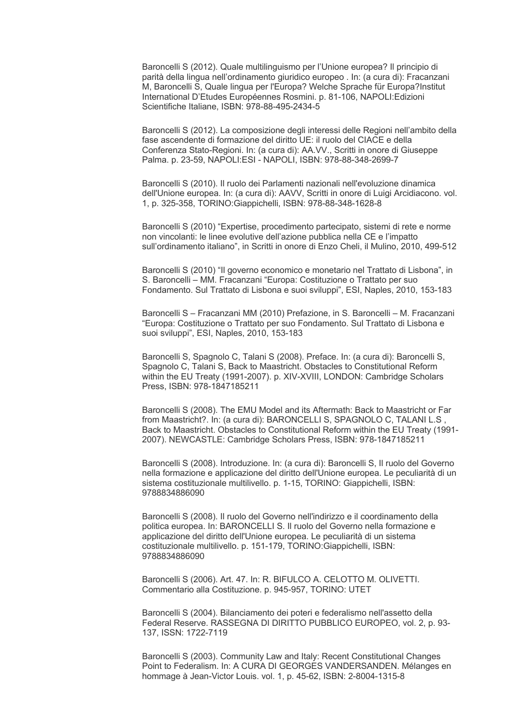Baroncelli S (2012). Quale multilinguismo per l'Unione europea? Il principio di parità della lingua nell'ordinamento giuridico europeo . In: (a cura di): Fracanzani M, Baroncelli S, Quale lingua per l'Europa? Welche Sprache für Europa?Institut International D'Etudes Européennes Rosmini. p. 81-106, NAPOLI:Edizioni Scientifiche Italiane, ISBN: 978-88-495-2434-5

Baroncelli S (2012). La composizione degli interessi delle Regioni nell'ambito della fase ascendente di formazione del diritto UE: il ruolo del CIACE e della Conferenza Stato-Regioni. In: (a cura di): AA.VV., Scritti in onore di Giuseppe Palma. p. 23-59, NAPOLI:ESI - NAPOLI, ISBN: 978-88-348-2699-7

Baroncelli S (2010). Il ruolo dei Parlamenti nazionali nell'evoluzione dinamica dell'Unione europea. In: (a cura di): AAVV, Scritti in onore di Luigi Arcidiacono. vol. 1, p. 325-358, TORINO:Giappichelli, ISBN: 978-88-348-1628-8

Baroncelli S (2010) "Expertise, procedimento partecipato, sistemi di rete e norme non vincolanti: le linee evolutive dell'azione pubblica nella CE e l'impatto sull'ordinamento italiano", in Scritti in onore di Enzo Cheli, il Mulino, 2010, 499-512

Baroncelli S (2010) "Il governo economico e monetario nel Trattato di Lisbona", in S. Baroncelli – MM. Fracanzani "Europa: Costituzione o Trattato per suo Fondamento. Sul Trattato di Lisbona e suoi sviluppi", ESI, Naples, 2010, 153-183

Baroncelli S – Fracanzani MM (2010) Prefazione, in S. Baroncelli – M. Fracanzani "Europa: Costituzione o Trattato per suo Fondamento. Sul Trattato di Lisbona e suoi sviluppi", ESI, Naples, 2010, 153-183

Baroncelli S, Spagnolo C, Talani S (2008). Preface. In: (a cura di): Baroncelli S, Spagnolo C, Talani S, Back to Maastricht. Obstacles to Constitutional Reform within the EU Treaty (1991-2007). p. XIV-XVIII, LONDON: Cambridge Scholars Press, ISBN: 978-1847185211

Baroncelli S (2008). The EMU Model and its Aftermath: Back to Maastricht or Far from Maastricht?. In: (a cura di): BARONCELLI S, SPAGNOLO C, TALANI L.S , Back to Maastricht. Obstacles to Constitutional Reform within the EU Treaty (1991- 2007). NEWCASTLE: Cambridge Scholars Press, ISBN: 978-1847185211

Baroncelli S (2008). Introduzione. In: (a cura di): Baroncelli S, Il ruolo del Governo nella formazione e applicazione del diritto dell'Unione europea. Le peculiarità di un sistema costituzionale multilivello. p. 1-15, TORINO: Giappichelli, ISBN: 9788834886090

Baroncelli S (2008). Il ruolo del Governo nell'indirizzo e il coordinamento della politica europea. In: BARONCELLI S. Il ruolo del Governo nella formazione e applicazione del diritto dell'Unione europea. Le peculiarità di un sistema costituzionale multilivello. p. 151-179, TORINO:Giappichelli, ISBN: 9788834886090

Baroncelli S (2006). Art. 47. In: R. BIFULCO A. CELOTTO M. OLIVETTI. Commentario alla Costituzione. p. 945-957, TORINO: UTET

Baroncelli S (2004). Bilanciamento dei poteri e federalismo nell'assetto della Federal Reserve. RASSEGNA DI DIRITTO PUBBLICO EUROPEO, vol. 2, p. 93- 137, ISSN: 1722-7119

Baroncelli S (2003). Community Law and Italy: Recent Constitutional Changes Point to Federalism. In: A CURA DI GEORGES VANDERSANDEN. Mélanges en hommage à Jean-Victor Louis. vol. 1, p. 45-62, ISBN: 2-8004-1315-8